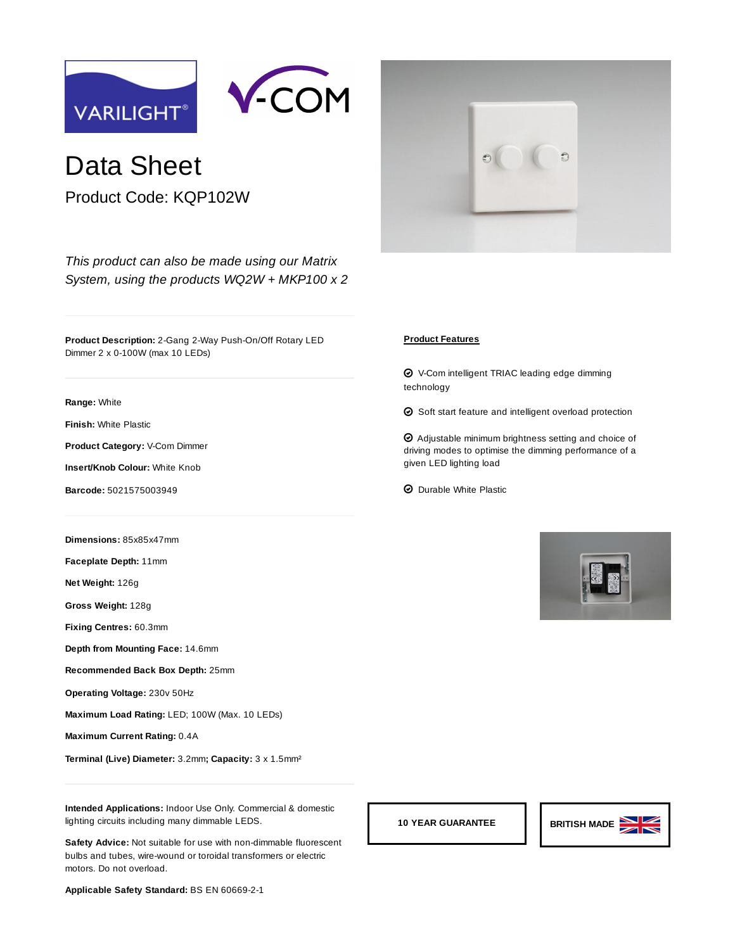



## Data Sheet

Product Code: KQP102W

*[This product can also be made using our Matrix](https://www.varilight.co.uk/ranges/range-matrix.php) System, using the products [WQ2W](https://www.varilight.co.uk/configurator/product.php?code=WQ2W) + [MKP100](https://www.varilight.co.uk/configurator/product.php?code=MKP100) x 2*

**Product Description:** 2-Gang 2-Way Push-On/Off Rotary LED Dimmer 2 x 0-100W (max 10 LEDs)

**Range:** [White](https://www.varilight.co.uk/ranges/white-dimmers.php)

**Finish:** [White Plastic](https://www.varilight.co.uk/ranges/white-dimmers.php)

**Product Category:** V-Com Dimmer

**Insert/Knob Colour:** White Knob

**Barcode:** 5021575003949

**Dimensions:** 85x85x47mm

**Faceplate Depth:** 11mm

**Net Weight:** 126g

**Gross Weight:** 128g

**Fixing Centres:** 60.3mm

**Depth from Mounting Face:** 14.6mm

**Recommended Back Box Depth:** 25mm

**Operating Voltage:** 230v 50Hz

**Maximum Load Rating:** LED; 100W (Max. 10 LEDs)

**Maximum Current Rating:** 0.4A

**Terminal (Live) Diameter:** 3.2mm**; Capacity:** 3 x 1.5mm²

**Intended Applications:** Indoor Use Only. Commercial & domestic lighting circuits including many dimmable LEDS.

**Safety Advice:** Not suitable for use with non-dimmable fluorescent bulbs and tubes, wire-wound or toroidal transformers or electric motors. Do not overload.

**Applicable Safety Standard:** BS EN 60669-2-1



## **Product Features**

 $\bm{\Theta}$  V-Com intelligent TRIAC leading edge dimming technology

 $\Theta$  Soft start feature and intelligent overload protection

 $\bm{\Theta}$  Adjustable minimum brightness setting and choice of driving modes to optimise the dimming performance of a given LED lighting load

 $\odot$  Durable White Plastic